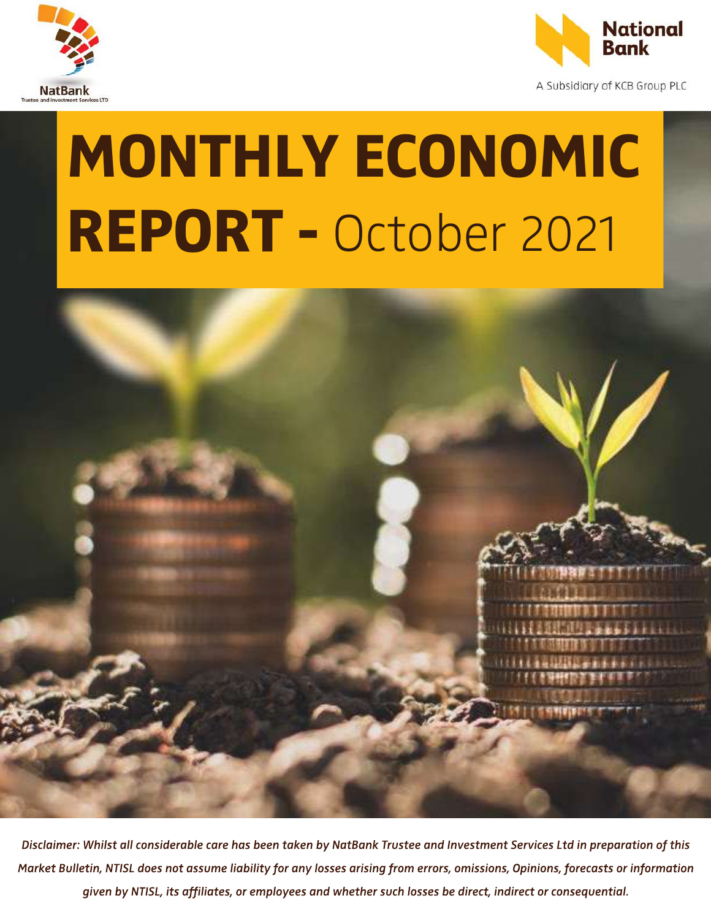



A Subsidiary of KCB Group PLC

# MONTHLY ECONOMIC REPORT - October 2021



Disclaimer: Whilst all considerable care has been taken by NatBank Trustee and Investment Services Ltd in preparation of this Market Bulletin, NTISL does not assume liability for any losses arising from errors, omissions, Opinions, forecasts or information given by NTISL, its affiliates, or employees and whether such losses be direct, indirect or consequential.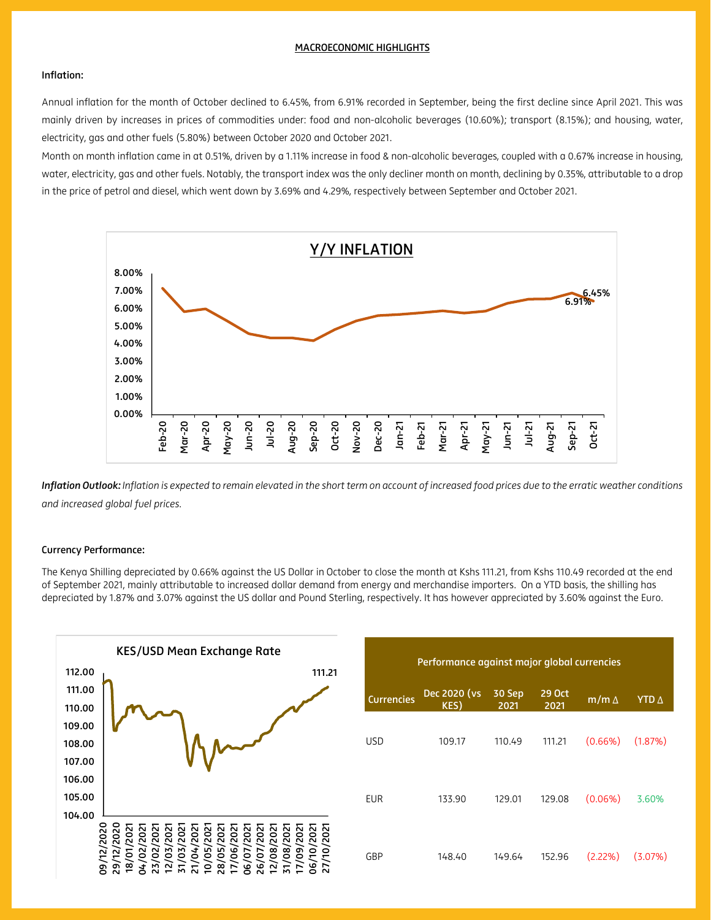#### MACROECONOMIC HIGHLIGHTS

# Inflation:

Annual inflation for the month of October declined to 6.45%, from 6.91% recorded in September, being the first decline since April 2021. This was mainly driven by increases in prices of commodities under: food and non-alcoholic beverages (10.60%); transport (8.15%); and housing, water, electricity, gas and other fuels (5.80%) between October 2020 and October 2021.

Month on month inflation came in at 0.51%, driven by a 1.11% increase in food & non-alcoholic beverages, coupled with a 0.67% increase in housing, water, electricity, gas and other fuels. Notably, the transport index was the only decliner month on month, declining by 0.35%, attributable to a drop in the price of petrol and diesel, which went down by 3.69% and 4.29%, respectively between September and October 2021.



*Inflation Outlook: Inflation is expected to remain elevated in the short term on account of increased food prices due to the erratic weather conditions and increased global fuel prices.* 

#### Currency Performance:

The Kenya Shilling depreciated by 0.66% against the US Dollar in October to close the month at Kshs 111.21, from Kshs 110.49 recorded at the end of September 2021, mainly attributable to increased dollar demand from energy and merchandise importers. On a YTD basis, the shilling has depreciated by 1.87% and 3.07% against the US dollar and Pound Sterling, respectively. It has however appreciated by 3.60% against the Euro.

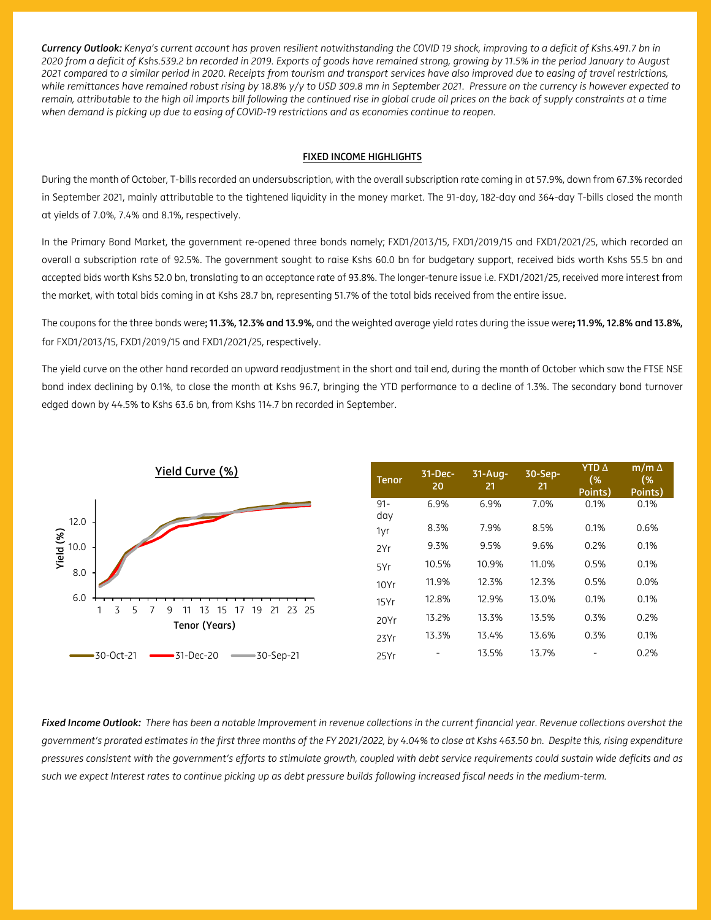*Currency Outlook: Kenya's current account has proven resilient notwithstanding the COVID 19 shock, improving to a deficit of Kshs.491.7 bn in 2020 from a deficit of Kshs.539.2 bn recorded in 2019. Exports of goods have remained strong, growing by 11.5% in the period January to August 2021 compared to a similar period in 2020. Receipts from tourism and transport services have also improved due to easing of travel restrictions, while remittances have remained robust rising by 18.8% y/y to USD 309.8 mn in September 2021. Pressure on the currency is however expected to remain, attributable to the high oil imports bill following the continued rise in global crude oil prices on the back of supply constraints at a time when demand is picking up due to easing of COVID-19 restrictions and as economies continue to reopen.*

# FIXED INCOME HIGHLIGHTS

During the month of October, T-bills recorded an undersubscription, with the overall subscription rate coming in at 57.9%, down from 67.3% recorded in September 2021, mainly attributable to the tightened liquidity in the money market. The 91-day, 182-day and 364-day T-bills closed the month at yields of 7.0%, 7.4% and 8.1%, respectively.

In the Primary Bond Market, the government re-opened three bonds namely; FXD1/2013/15, FXD1/2019/15 and FXD1/2021/25, which recorded an overall a subscription rate of 92.5%. The government sought to raise Kshs 60.0 bn for budgetary support, received bids worth Kshs 55.5 bn and accepted bids worth Kshs 52.0 bn, translating to an acceptance rate of 93.8%. The longer-tenure issue i.e. FXD1/2021/25, received more interest from the market, with total bids coming in at Kshs 28.7 bn, representing 51.7% of the total bids received from the entire issue.

The coupons for the three bonds were; 11.3%, 12.3% and 13.9%, and the weighted average yield rates during the issue were**;** 11.9%, 12.8% and 13.8%, for FXD1/2013/15, FXD1/2019/15 and FXD1/2021/25, respectively.

The yield curve on the other hand recorded an upward readjustment in the short and tail end, during the month of October which saw the FTSE NSE bond index declining by 0.1%, to close the month at Kshs 96.7, bringing the YTD performance to a decline of 1.3%. The secondary bond turnover edged down by 44.5% to Kshs 63.6 bn, from Kshs 114.7 bn recorded in September.



| <b>Tenor</b>  | $31-Dec-$<br>20 | $31 - Aug -$<br>21 | 30-Sep-<br>21 | <b>YTD</b> $\Delta$<br>(%<br>Points) | $m/m \Delta$<br>(%<br>Points) |
|---------------|-----------------|--------------------|---------------|--------------------------------------|-------------------------------|
| $91 -$<br>day | 6.9%            | 6.9%               | 7.0%          | 0.1%                                 | 0.1%                          |
| 1yr           | 8.3%            | 7.9%               | 8.5%          | 0.1%                                 | 0.6%                          |
| 2Yr           | 9.3%            | 9.5%               | 9.6%          | 0.2%                                 | 0.1%                          |
| 5Yr           | 10.5%           | 10.9%              | 11.0%         | 0.5%                                 | 0.1%                          |
| 10Yr          | 11.9%           | 12.3%              | 12.3%         | 0.5%                                 | 0.0%                          |
| 15Yr          | 12.8%           | 12.9%              | 13.0%         | 0.1%                                 | 0.1%                          |
| 20Yr          | 13.2%           | 13.3%              | 13.5%         | 0.3%                                 | 0.2%                          |
| 23Yr          | 13.3%           | 13.4%              | 13.6%         | 0.3%                                 | 0.1%                          |
| 25Yr          |                 | 13.5%              | 13.7%         |                                      | 0.2%                          |

*Fixed Income Outlook: There has been a notable Improvement in revenue collections in the current financial year. Revenue collections overshot the government's prorated estimates in the first three months of the FY 2021/2022, by 4.04% to close at Kshs 463.50 bn. Despite this, rising expenditure pressures consistent with the government's efforts to stimulate growth, coupled with debt service requirements could sustain wide deficits and as such we expect Interest rates to continue picking up as debt pressure builds following increased fiscal needs in the medium-term.*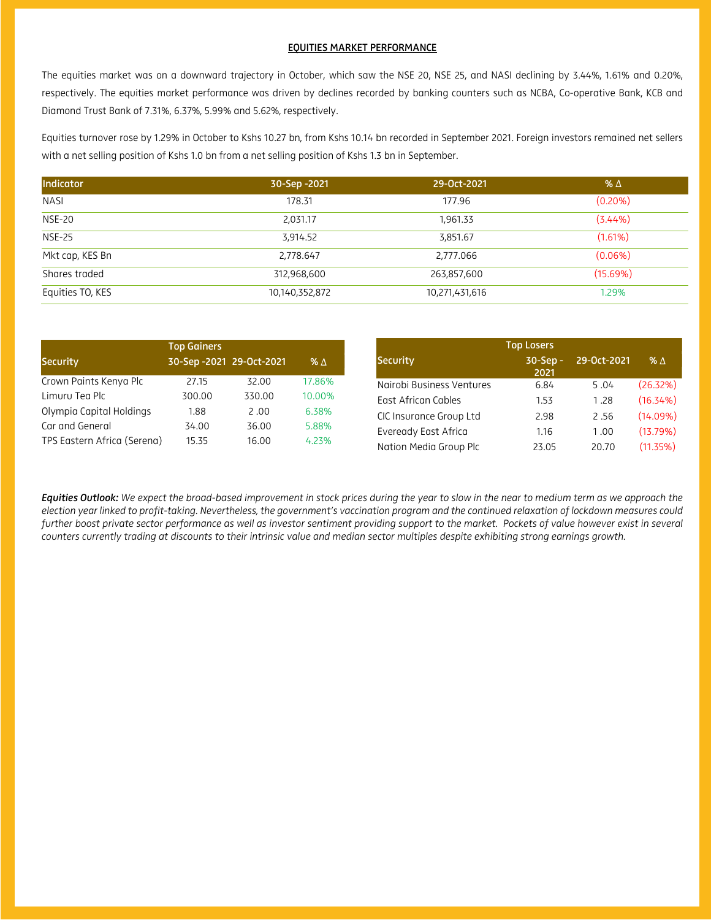### EQUITIES MARKET PERFORMANCE

The equities market was on a downward trajectory in October, which saw the NSE 20, NSE 25, and NASI declining by 3.44%, 1.61% and 0.20%, respectively. The equities market performance was driven by declines recorded by banking counters such as NCBA, Co-operative Bank, KCB and Diamond Trust Bank of 7.31%, 6.37%, 5.99% and 5.62%, respectively.

Equities turnover rose by 1.29% in October to Kshs 10.27 bn, from Kshs 10.14 bn recorded in September 2021. Foreign investors remained net sellers with a net selling position of Kshs 1.0 bn from a net selling position of Kshs 1.3 bn in September.

| Indicator        | 30-Sep -2021   | 29-Oct-2021    | % $\Delta$ |
|------------------|----------------|----------------|------------|
| <b>NASI</b>      | 178.31         | 177.96         | $(0.20\%)$ |
| <b>NSE-20</b>    | 2,031.17       | 1,961.33       | (3.44%)    |
| <b>NSE-25</b>    | 3,914.52       | 3,851.67       | (1.61%)    |
| Mkt cap, KES Bn  | 2,778.647      | 2,777.066      | $(0.06\%)$ |
| Shares traded    | 312,968,600    | 263,857,600    | (15.69%)   |
| Equities TO, KES | 10,140,352,872 | 10,271,431,616 | 1.29%      |

|                             | <b>Top Gainers</b> |                          |            |                           | <b>Top Losers</b>  |             |            |
|-----------------------------|--------------------|--------------------------|------------|---------------------------|--------------------|-------------|------------|
| Security                    |                    | 30-Sep -2021 29-Oct-2021 | % $\Delta$ | Security                  | $30-Sep -$<br>2021 | 29-Oct-2021 | $% \Delta$ |
| Crown Paints Kenya Plc      | 27.15              | 32.00                    | 17.86%     | Nairobi Business Ventures | 6.84               | 5.04        | (26.32%)   |
| Limuru Tea Plc              | 300.00             | 330.00                   | 10.00%     | East African Cables       | 1.53               | 1.28        | (16.34%)   |
| Olympia Capital Holdings    | 1.88               | 2.00                     | 6.38%      | CIC Insurance Group Ltd   | 2.98               | 2.56        | (14.09%)   |
| Car and General             | 34.00              | 36.00                    | 5.88%      | Eveready East Africa      | 1.16               | 0.00        | (13.79%)   |
| TPS Eastern Africa (Serena) | 15.35              | 16.00                    | 4.23%      | Nation Media Group Plc    | 23.05              | 20.70       | (11.35%)   |

*Equities Outlook: We expect the broad-based improvement in stock prices during the year to slow in the near to medium term as we approach the election year linked to profit-taking. Nevertheless, the government's vaccination program and the continued relaxation of lockdown measures could further boost private sector performance as well as investor sentiment providing support to the market. Pockets of value however exist in several counters currently trading at discounts to their intrinsic value and median sector multiples despite exhibiting strong earnings growth.*